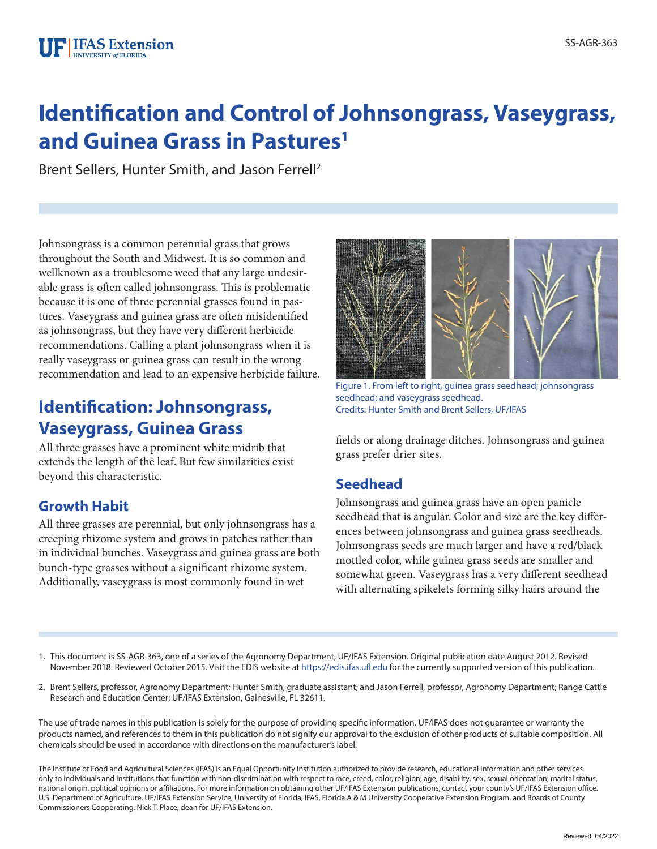# **Identification and Control of Johnsongrass, Vaseygrass, and Guinea Grass in Pastures<sup>1</sup>**

Brent Sellers, Hunter Smith, and Jason Ferrell2

Johnsongrass is a common perennial grass that grows throughout the South and Midwest. It is so common and wellknown as a troublesome weed that any large undesirable grass is often called johnsongrass. This is problematic because it is one of three perennial grasses found in pastures. Vaseygrass and guinea grass are often misidentified as johnsongrass, but they have very different herbicide recommendations. Calling a plant johnsongrass when it is really vaseygrass or guinea grass can result in the wrong recommendation and lead to an expensive herbicide failure.

## **Identification: Johnsongrass, Vaseygrass, Guinea Grass**

All three grasses have a prominent white midrib that extends the length of the leaf. But few similarities exist beyond this characteristic.

### **Growth Habit**

All three grasses are perennial, but only johnsongrass has a creeping rhizome system and grows in patches rather than in individual bunches. Vaseygrass and guinea grass are both bunch-type grasses without a significant rhizome system. Additionally, vaseygrass is most commonly found in wet



Figure 1. From left to right, guinea grass seedhead; johnsongrass seedhead; and vaseygrass seedhead. Credits: Hunter Smith and Brent Sellers, UF/IFAS

fields or along drainage ditches. Johnsongrass and guinea grass prefer drier sites.

#### **Seedhead**

Johnsongrass and guinea grass have an open panicle seedhead that is angular. Color and size are the key differences between johnsongrass and guinea grass seedheads. Johnsongrass seeds are much larger and have a red/black mottled color, while guinea grass seeds are smaller and somewhat green. Vaseygrass has a very different seedhead with alternating spikelets forming silky hairs around the

- 1. This document is SS-AGR-363, one of a series of the Agronomy Department, UF/IFAS Extension. Original publication date August 2012. Revised November 2018. Reviewed October 2015. Visit the EDIS website at https://edis.ifas.ufl.edu for the currently supported version of this publication.
- 2. Brent Sellers, professor, Agronomy Department; Hunter Smith, graduate assistant; and Jason Ferrell, professor, Agronomy Department; Range Cattle Research and Education Center; UF/IFAS Extension, Gainesville, FL 32611.

The use of trade names in this publication is solely for the purpose of providing specific information. UF/IFAS does not guarantee or warranty the products named, and references to them in this publication do not signify our approval to the exclusion of other products of suitable composition. All chemicals should be used in accordance with directions on the manufacturer's label.

The Institute of Food and Agricultural Sciences (IFAS) is an Equal Opportunity Institution authorized to provide research, educational information and other services only to individuals and institutions that function with non-discrimination with respect to race, creed, color, religion, age, disability, sex, sexual orientation, marital status, national origin, political opinions or affiliations. For more information on obtaining other UF/IFAS Extension publications, contact your county's UF/IFAS Extension office. U.S. Department of Agriculture, UF/IFAS Extension Service, University of Florida, IFAS, Florida A & M University Cooperative Extension Program, and Boards of County Commissioners Cooperating. Nick T. Place, dean for UF/IFAS Extension.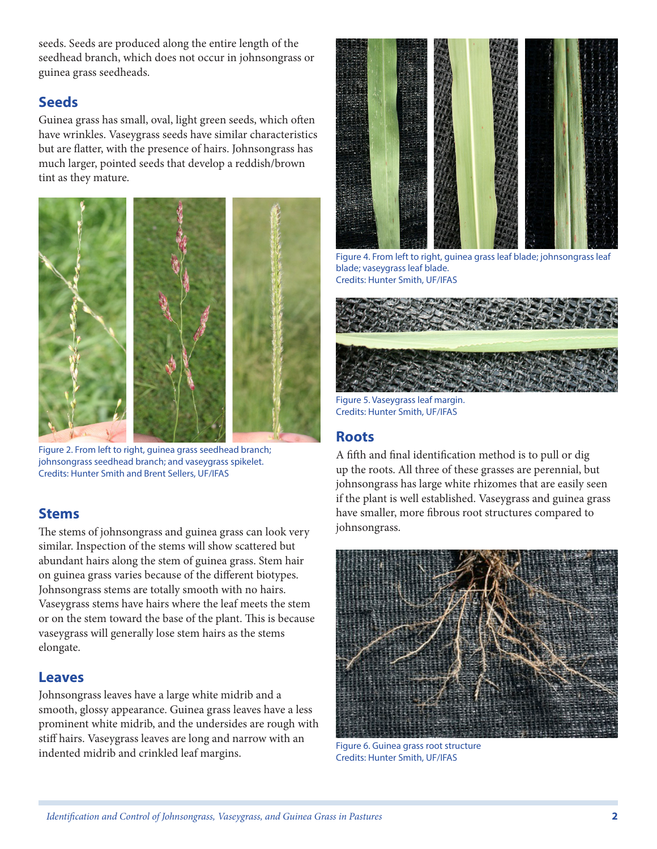seeds. Seeds are produced along the entire length of the seedhead branch, which does not occur in johnsongrass or guinea grass seedheads.

#### **Seeds**

Guinea grass has small, oval, light green seeds, which often have wrinkles. Vaseygrass seeds have similar characteristics but are flatter, with the presence of hairs. Johnsongrass has much larger, pointed seeds that develop a reddish/brown tint as they mature.



Figure 2. From left to right, guinea grass seedhead branch; johnsongrass seedhead branch; and vaseygrass spikelet. Credits: Hunter Smith and Brent Sellers, UF/IFAS

#### **Stems**

The stems of johnsongrass and guinea grass can look very similar. Inspection of the stems will show scattered but abundant hairs along the stem of guinea grass. Stem hair on guinea grass varies because of the different biotypes. Johnsongrass stems are totally smooth with no hairs. Vaseygrass stems have hairs where the leaf meets the stem or on the stem toward the base of the plant. This is because vaseygrass will generally lose stem hairs as the stems elongate.

#### **Leaves**

Johnsongrass leaves have a large white midrib and a smooth, glossy appearance. Guinea grass leaves have a less prominent white midrib, and the undersides are rough with stiff hairs. Vaseygrass leaves are long and narrow with an indented midrib and crinkled leaf margins.



Figure 4. From left to right, guinea grass leaf blade; johnsongrass leaf blade; vaseygrass leaf blade. Credits: Hunter Smith, UF/IFAS



Figure 5. Vaseygrass leaf margin. Credits: Hunter Smith, UF/IFAS

#### **Roots**

A fifth and final identification method is to pull or dig up the roots. All three of these grasses are perennial, but johnsongrass has large white rhizomes that are easily seen if the plant is well established. Vaseygrass and guinea grass have smaller, more fibrous root structures compared to johnsongrass.



Figure 6. Guinea grass root structure Credits: Hunter Smith, UF/IFAS